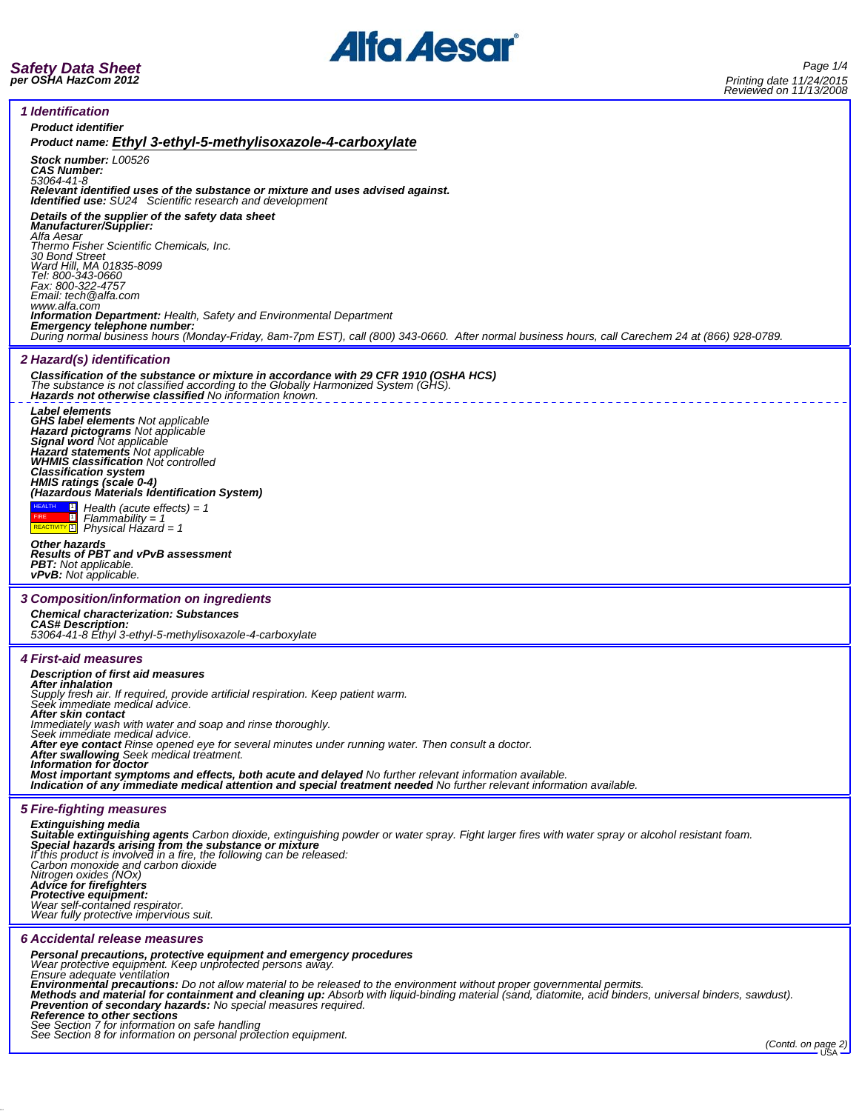

*Safety Data Sheet per OSHA HazCom 2012*

٦

| <b>Product identifier</b>                                                                                                                                                                                                                                                                                                                           |
|-----------------------------------------------------------------------------------------------------------------------------------------------------------------------------------------------------------------------------------------------------------------------------------------------------------------------------------------------------|
| Product name: Ethyl 3-ethyl-5-methylisoxazole-4-carboxylate                                                                                                                                                                                                                                                                                         |
| <b>Stock number: L00526</b><br><b>CAS Number:</b><br>53064-41-8                                                                                                                                                                                                                                                                                     |
| Relevant identified uses of the substance or mixture and uses advised against.<br><b>Identified use:</b> SU24 Scientific research and development                                                                                                                                                                                                   |
| Details of the supplier of the safety data sheet<br><b>Manufacturer/Supplier:</b><br>Alfa Aesar                                                                                                                                                                                                                                                     |
| Thermo Fisher Scientific Chemicals, Inc.<br>30 Bond Street                                                                                                                                                                                                                                                                                          |
| Ward Hill, MA 01835-8099<br>Tel: 800-343-0660                                                                                                                                                                                                                                                                                                       |
| Fax: 800-322-4757<br>Email: tech@alfa.com                                                                                                                                                                                                                                                                                                           |
| www.alfa.com<br><b>Information Department:</b> Health, Safety and Environmental Department                                                                                                                                                                                                                                                          |
| Emergency telephone number:<br>During normal business hours (Monday-Friday, 8am-7pm EST), call (800) 343-0660. After normal business hours, call Carechem 24 at (866) 928-0789.                                                                                                                                                                     |
| 2 Hazard(s) identification                                                                                                                                                                                                                                                                                                                          |
| Classification of the substance or mixture in accordance with 29 CFR 1910 (OSHA HCS)<br>The substance is not classified according to the Globally Harmonized System (GHS).<br><b>Hazards not otherwise classified</b> No information known.                                                                                                         |
| Label elements<br><b>GHS label elements Not applicable</b><br>Hazard pictograms Not applicable                                                                                                                                                                                                                                                      |
| Signal word Not applicable<br><b>Hazard statements</b> Not applicable                                                                                                                                                                                                                                                                               |
| <b>WHMIS classification Not controlled</b><br><b>Classification system</b>                                                                                                                                                                                                                                                                          |
| HMIS ratings (scale 0-4)<br>(Hazardous Materials Identification System)                                                                                                                                                                                                                                                                             |
| <b>HEALTH</b><br>П<br>Health (acute effects) = $1$                                                                                                                                                                                                                                                                                                  |
| $\blacksquare$<br>$Flammablity = 1$<br>REACTIVITY <sup>1</sup> Physical Hazard = 1                                                                                                                                                                                                                                                                  |
| Other hazards<br><b>Results of PBT and vPvB assessment</b>                                                                                                                                                                                                                                                                                          |
| <b>PBT:</b> Not applicable.<br><b>vPvB:</b> Not applicable.                                                                                                                                                                                                                                                                                         |
|                                                                                                                                                                                                                                                                                                                                                     |
| 3 Composition/information on ingredients                                                                                                                                                                                                                                                                                                            |
| <b>Chemical characterization: Substances</b><br><b>CAS# Description:</b>                                                                                                                                                                                                                                                                            |
| 53064-41-8 Ethyl 3-ethyl-5-methylisoxazole-4-carboxylate                                                                                                                                                                                                                                                                                            |
| <b>4 First-aid measures</b>                                                                                                                                                                                                                                                                                                                         |
| Description of first aid measures<br><b>After inhalation</b>                                                                                                                                                                                                                                                                                        |
| Supply fresh air. If required, provide artificial respiration. Keep patient warm.<br>Seek immediate medical advice.<br>After skin contact                                                                                                                                                                                                           |
| Immediately wash with water and soap and rinse thoroughly.<br>Seek immediate medical advice.                                                                                                                                                                                                                                                        |
| After eye contact Rinse opened eye for several minutes under running water. Then consult a doctor.                                                                                                                                                                                                                                                  |
| After swallowing Seek medical treatment.<br>Information for doctor                                                                                                                                                                                                                                                                                  |
| Most important symptoms and effects, both acute and delayed No further relevant information available.<br>Indication of any immediate medical attention and special treatment needed No further relevant information available.                                                                                                                     |
| <b>5 Fire-fighting measures</b>                                                                                                                                                                                                                                                                                                                     |
| <b>Extinguishing media</b><br>Suitable extinguishing agents Carbon dioxide, extinguishing powder or water spray. Fight larger fires with water spray or alcohol resistant foam.                                                                                                                                                                     |
| Special hazards arising from the substance or mixture<br>If this product is involved in a fire, the following can be released:                                                                                                                                                                                                                      |
| Carbon monoxide and carbon dioxide<br>Nitrogen oxides (NOx)                                                                                                                                                                                                                                                                                         |
| <b>Advice for firefighters</b><br>Protective equipment:                                                                                                                                                                                                                                                                                             |
| Wear self-contained respirator.<br>Wear fully protective impervious suit.                                                                                                                                                                                                                                                                           |
| 6 Accidental release measures                                                                                                                                                                                                                                                                                                                       |
|                                                                                                                                                                                                                                                                                                                                                     |
| Personal precautions, protective equipment and emergency procedures<br>Wear protective equipment. Keep unprotected persons away.<br>Ensure adequate ventilation                                                                                                                                                                                     |
| Environmental precautions: Do not allow material to be released to the environment without proper governmental permits.<br>Methods and material for containment and cleaning up: Absorb with liquid-binding material (sand, diatomite, acid binders, universal binders, sawdust).<br>Prevention of secondary hazards: No special measures required. |
| Reference to other sections<br>See Section 7 for information on safe handling                                                                                                                                                                                                                                                                       |
| See Section 8 for information on personal protection equipment.<br>(Contd. on page 2)                                                                                                                                                                                                                                                               |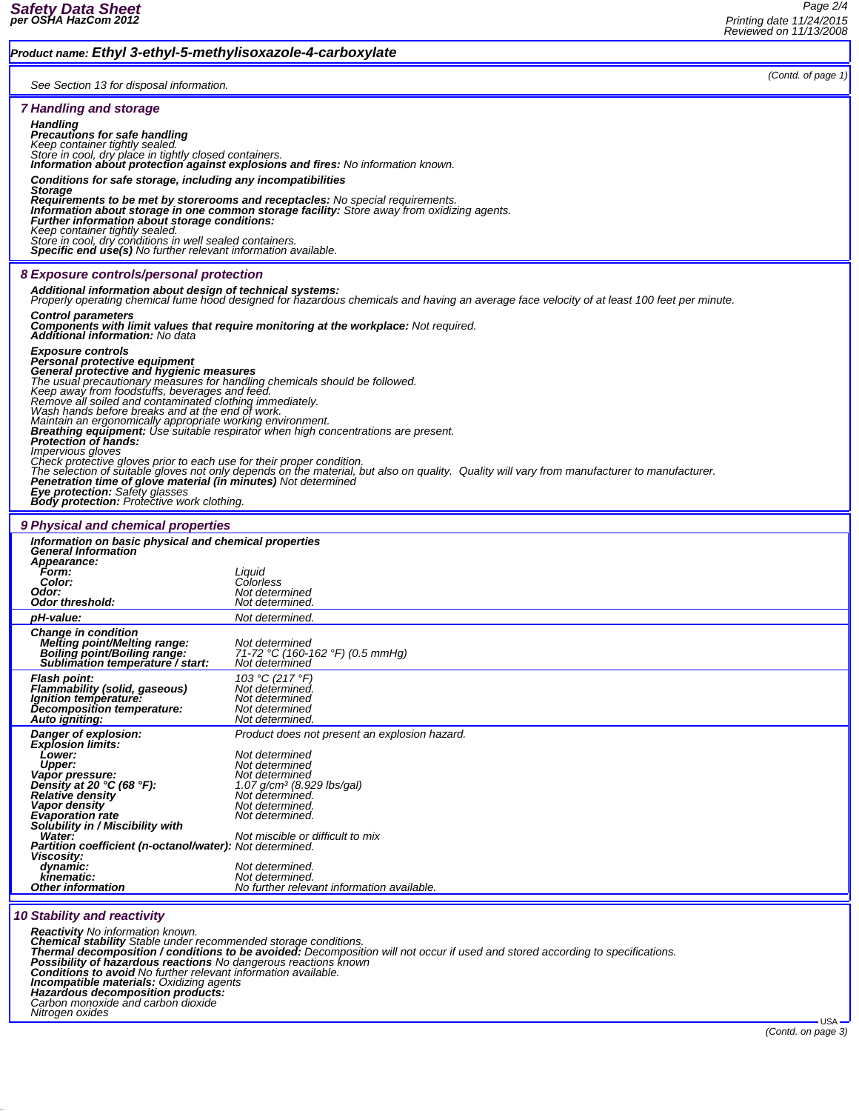*Product name: Ethyl 3-ethyl-5-methylisoxazole-4-carboxylate*

*(Contd. of page 1)*

| See Section 13 for disposal information. |  |  |
|------------------------------------------|--|--|
|------------------------------------------|--|--|

|                                                                                                                                                                                                          | See Section 13 for disposal information.                                                                                                                                                          |  |  |
|----------------------------------------------------------------------------------------------------------------------------------------------------------------------------------------------------------|---------------------------------------------------------------------------------------------------------------------------------------------------------------------------------------------------|--|--|
|                                                                                                                                                                                                          |                                                                                                                                                                                                   |  |  |
| <b>7 Handling and storage</b>                                                                                                                                                                            |                                                                                                                                                                                                   |  |  |
| <b>Handling</b>                                                                                                                                                                                          |                                                                                                                                                                                                   |  |  |
| <b>Precautions for safe handling</b><br>Keep container tightly sealed.                                                                                                                                   |                                                                                                                                                                                                   |  |  |
| Store in cool, dry place in tightly closed containers.                                                                                                                                                   |                                                                                                                                                                                                   |  |  |
| <b>Information about protection against explosions and fires:</b> No information known.                                                                                                                  |                                                                                                                                                                                                   |  |  |
| Conditions for safe storage, including any incompatibilities                                                                                                                                             |                                                                                                                                                                                                   |  |  |
| Storage                                                                                                                                                                                                  |                                                                                                                                                                                                   |  |  |
|                                                                                                                                                                                                          | <b>Requirements to be met by storerooms and receptacles:</b> No special requirements.                                                                                                             |  |  |
| Information about storage in one common storage facility: Store away from oxidizing agents.<br>Further information about storage conditions:                                                             |                                                                                                                                                                                                   |  |  |
| Keep container tightly sealed.                                                                                                                                                                           |                                                                                                                                                                                                   |  |  |
| Store in cool, dry conditions in well sealed containers.<br>Store in cool, dry conditions in well sealed containers.<br>Specific end use(s) No further relevant information available.                   |                                                                                                                                                                                                   |  |  |
|                                                                                                                                                                                                          |                                                                                                                                                                                                   |  |  |
| 8 Exposure controls/personal protection                                                                                                                                                                  |                                                                                                                                                                                                   |  |  |
|                                                                                                                                                                                                          |                                                                                                                                                                                                   |  |  |
| Additional information about design of technical systems:<br>Properly operating chemical fume hood designed for hazardous chemicals and having an average face velocity of at least 100 feet per minute. |                                                                                                                                                                                                   |  |  |
| <b>Control parameters</b>                                                                                                                                                                                |                                                                                                                                                                                                   |  |  |
| <b>Components with limit values that require monitoring at the workplace:</b> Not required.                                                                                                              |                                                                                                                                                                                                   |  |  |
| Additional information: No data                                                                                                                                                                          |                                                                                                                                                                                                   |  |  |
| <b>Exposure controls</b>                                                                                                                                                                                 |                                                                                                                                                                                                   |  |  |
| Personal protective equipment<br>General protective and hygienic measures                                                                                                                                |                                                                                                                                                                                                   |  |  |
|                                                                                                                                                                                                          |                                                                                                                                                                                                   |  |  |
| The usual precautionary measures for handling chemicals should be followed.<br>Keep away from foodstuffs, beverages and feed.                                                                            |                                                                                                                                                                                                   |  |  |
| Remove all soiled and contaminated clothing immediately.                                                                                                                                                 |                                                                                                                                                                                                   |  |  |
| Wash hands before breaks and at the end of work.<br>Maintain an ergonomically appropriate working environment.                                                                                           |                                                                                                                                                                                                   |  |  |
| <b>Breathing equipment:</b> Use suitable respirator when high concentrations are present.                                                                                                                |                                                                                                                                                                                                   |  |  |
| Protection of hands:<br>Impervious gloves                                                                                                                                                                |                                                                                                                                                                                                   |  |  |
| Check protective gloves prior to each use for their proper condition.                                                                                                                                    |                                                                                                                                                                                                   |  |  |
| The selection of suitable gloves not only depends on the material, but also on quality. Quality will vary from manufacturer to manufacturer.                                                             |                                                                                                                                                                                                   |  |  |
| <b>Penetration time of glove material (in minutes)</b> Not determined<br>Eye protection: Safety glasses                                                                                                  |                                                                                                                                                                                                   |  |  |
| <b>Body protection:</b> Protective work clothing.                                                                                                                                                        |                                                                                                                                                                                                   |  |  |
|                                                                                                                                                                                                          |                                                                                                                                                                                                   |  |  |
| 9 Physical and chemical properties                                                                                                                                                                       |                                                                                                                                                                                                   |  |  |
| Information on basic physical and chemical properties                                                                                                                                                    |                                                                                                                                                                                                   |  |  |
| <b>General Information</b>                                                                                                                                                                               |                                                                                                                                                                                                   |  |  |
| Appearance:<br>Form:                                                                                                                                                                                     | Liquid                                                                                                                                                                                            |  |  |
| Color:                                                                                                                                                                                                   | Colorless                                                                                                                                                                                         |  |  |
| Odor:                                                                                                                                                                                                    | Not determined                                                                                                                                                                                    |  |  |
| Odor threshold:                                                                                                                                                                                          | Not determined.                                                                                                                                                                                   |  |  |
| pH-value:                                                                                                                                                                                                | Not determined.                                                                                                                                                                                   |  |  |
| <b>Change in condition</b>                                                                                                                                                                               |                                                                                                                                                                                                   |  |  |
| <b>Melting point/Melting range:</b><br>Boiling point/Boiling range:                                                                                                                                      | Not determined<br>71-72 °C (160-162 °F) (0.5 mmHg)                                                                                                                                                |  |  |
| Sublimation temperature / start:                                                                                                                                                                         | Not determined                                                                                                                                                                                    |  |  |
| <b>Flash point:</b>                                                                                                                                                                                      | 103 °C (217 °F)                                                                                                                                                                                   |  |  |
| Flammability (solid, gaseous)                                                                                                                                                                            | Not determined.                                                                                                                                                                                   |  |  |
| lanition temperature:                                                                                                                                                                                    | Not determined                                                                                                                                                                                    |  |  |
| Decomposition temperature:<br>Auto igniting:                                                                                                                                                             | Not determined<br>Not determined.                                                                                                                                                                 |  |  |
|                                                                                                                                                                                                          |                                                                                                                                                                                                   |  |  |
| Danger of explosion:<br><b>Explosion limits:</b>                                                                                                                                                         | Product does not present an explosion hazard.                                                                                                                                                     |  |  |
| Lower:                                                                                                                                                                                                   | Not determined                                                                                                                                                                                    |  |  |
| <b>Upper:</b>                                                                                                                                                                                            | Not determined                                                                                                                                                                                    |  |  |
| Vapor pressure:<br>Density at 20 $°C$ (68 $°F$ ):                                                                                                                                                        | Not determined<br>1.07 g/cm <sup>3</sup> (8.929 lbs/gal)                                                                                                                                          |  |  |
|                                                                                                                                                                                                          | Not determined.                                                                                                                                                                                   |  |  |
| Relative density                                                                                                                                                                                         |                                                                                                                                                                                                   |  |  |
| Vapor density                                                                                                                                                                                            | Not determined.                                                                                                                                                                                   |  |  |
| <b>Evaporation rate</b>                                                                                                                                                                                  | Not determined.                                                                                                                                                                                   |  |  |
| Solubility in / Miscibility with<br>Water:                                                                                                                                                               | Not miscible or difficult to mix                                                                                                                                                                  |  |  |
| <b>Partition coefficient (n-octanol/water):</b> Not determined.                                                                                                                                          |                                                                                                                                                                                                   |  |  |
| Viscosity:                                                                                                                                                                                               |                                                                                                                                                                                                   |  |  |
| dynamic:<br>kinematic:                                                                                                                                                                                   | Not determined.                                                                                                                                                                                   |  |  |
| <b>Other information</b>                                                                                                                                                                                 | Not determined.<br>No further relevant information available.                                                                                                                                     |  |  |
|                                                                                                                                                                                                          |                                                                                                                                                                                                   |  |  |
|                                                                                                                                                                                                          |                                                                                                                                                                                                   |  |  |
| <b>10 Stability and reactivity</b>                                                                                                                                                                       |                                                                                                                                                                                                   |  |  |
| Reactivity No information known.                                                                                                                                                                         |                                                                                                                                                                                                   |  |  |
| Possibility of hazardous reactions No dangerous reactions known                                                                                                                                          | Chemical stability Stable under recommended storage conditions.<br>Thermal decomposition / conditions to be avoided: Decomposition will not occur if used and stored according to specifications. |  |  |

*Incompatible materials: Oxidizing agents***<br>Hazardous decomposition products:<br>Carbon monoxide and carbon dioxide<br>Nitrogen oxides**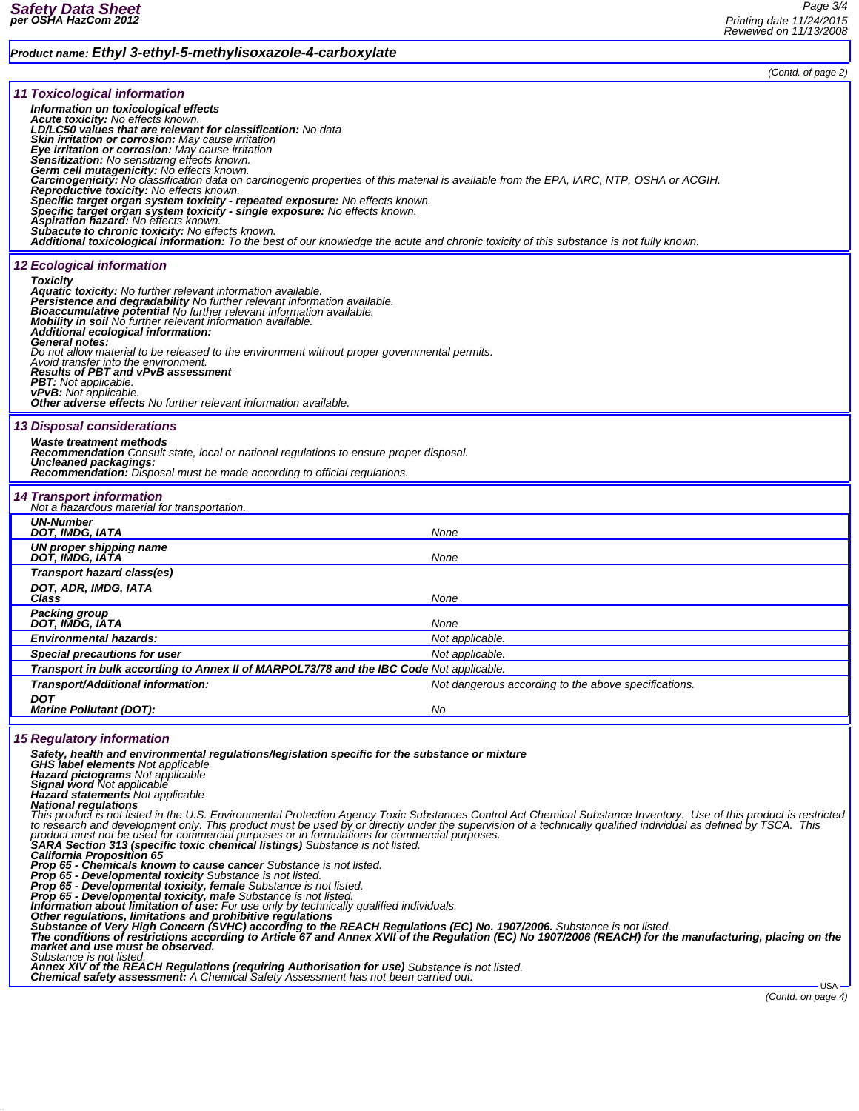## *Product name: Ethyl 3-ethyl-5-methylisoxazole-4-carboxylate*

|                                                                                                                                                                                                                                                                                                                                                                                                                                                                                                                                                                                                                                                                                                                                                                                                                                                                                                                                                                                                                                                                                                                                                                                                                                                                                                                                                                                                                                                                                                                                                                                                                                                                                                                                                                                                                                                          | (Contd. of page 2)                                   |  |
|----------------------------------------------------------------------------------------------------------------------------------------------------------------------------------------------------------------------------------------------------------------------------------------------------------------------------------------------------------------------------------------------------------------------------------------------------------------------------------------------------------------------------------------------------------------------------------------------------------------------------------------------------------------------------------------------------------------------------------------------------------------------------------------------------------------------------------------------------------------------------------------------------------------------------------------------------------------------------------------------------------------------------------------------------------------------------------------------------------------------------------------------------------------------------------------------------------------------------------------------------------------------------------------------------------------------------------------------------------------------------------------------------------------------------------------------------------------------------------------------------------------------------------------------------------------------------------------------------------------------------------------------------------------------------------------------------------------------------------------------------------------------------------------------------------------------------------------------------------|------------------------------------------------------|--|
| <b>11 Toxicological information</b><br>Information on toxicological effects<br>Acute toxicity: No effects known.<br>LD/LC50 values that are relevant for classification: No data<br>Skin irritation or corrosion: May cause irritation<br>Eye irritation or corrosion: May cause irritation<br>Sensitization: No sensitizing effects known.<br>Germ cell mutagenicity: No effects known.<br>Carcinogenicity: No classification data on carcinogenic properties of this material is available from the EPA, IARC, NTP, OSHA or ACGIH.<br>Reproductive toxicity: No effects known.<br>Specific target organ system toxicity - repeated exposure: No effects known.<br>Specific target organ system toxicity - single exposure: No effects known.<br>Aspiration hazard: No effects known.<br><b>Subacute to chronic toxicity: No effects known.</b><br>Additional toxicological information: To the best of our knowledge the acute and chronic toxicity of this substance is not fully known.                                                                                                                                                                                                                                                                                                                                                                                                                                                                                                                                                                                                                                                                                                                                                                                                                                                              |                                                      |  |
|                                                                                                                                                                                                                                                                                                                                                                                                                                                                                                                                                                                                                                                                                                                                                                                                                                                                                                                                                                                                                                                                                                                                                                                                                                                                                                                                                                                                                                                                                                                                                                                                                                                                                                                                                                                                                                                          |                                                      |  |
| <b>12 Ecological information</b><br><b>Toxicity</b><br>Aquatic toxicity: No further relevant information available.<br>Persistence and degradability No further relevant information available.<br>Bioaccumulative potential No further relevant information available.<br>Mobility in soil No further relevant information available.<br>Additional ecological information:<br><b>General notes:</b><br>Do not allow material to be released to the environment without proper governmental permits.<br>Avoid transfer into the environment.<br><b>Results of PBT and vPvB assessment</b><br><b>PBT:</b> Not applicable.<br>vPvB: Not applicable.<br><b>Other adverse effects</b> No further relevant information available.                                                                                                                                                                                                                                                                                                                                                                                                                                                                                                                                                                                                                                                                                                                                                                                                                                                                                                                                                                                                                                                                                                                            |                                                      |  |
|                                                                                                                                                                                                                                                                                                                                                                                                                                                                                                                                                                                                                                                                                                                                                                                                                                                                                                                                                                                                                                                                                                                                                                                                                                                                                                                                                                                                                                                                                                                                                                                                                                                                                                                                                                                                                                                          |                                                      |  |
| <b>13 Disposal considerations</b><br><b>Waste treatment methods</b><br><b>Recommendation</b> Consult state, local or national regulations to ensure proper disposal.<br>Uncleaned packagings:<br><b>Recommendation:</b> Disposal must be made according to official regulations.                                                                                                                                                                                                                                                                                                                                                                                                                                                                                                                                                                                                                                                                                                                                                                                                                                                                                                                                                                                                                                                                                                                                                                                                                                                                                                                                                                                                                                                                                                                                                                         |                                                      |  |
| <b>14 Transport information</b><br>Not a hazardous material for transportation.                                                                                                                                                                                                                                                                                                                                                                                                                                                                                                                                                                                                                                                                                                                                                                                                                                                                                                                                                                                                                                                                                                                                                                                                                                                                                                                                                                                                                                                                                                                                                                                                                                                                                                                                                                          |                                                      |  |
| <b>UN-Number</b><br>DOT, IMDG, IATA                                                                                                                                                                                                                                                                                                                                                                                                                                                                                                                                                                                                                                                                                                                                                                                                                                                                                                                                                                                                                                                                                                                                                                                                                                                                                                                                                                                                                                                                                                                                                                                                                                                                                                                                                                                                                      | None                                                 |  |
| UN proper shipping name<br>DOT, IMDG, IATA                                                                                                                                                                                                                                                                                                                                                                                                                                                                                                                                                                                                                                                                                                                                                                                                                                                                                                                                                                                                                                                                                                                                                                                                                                                                                                                                                                                                                                                                                                                                                                                                                                                                                                                                                                                                               | None                                                 |  |
| Transport hazard class(es)                                                                                                                                                                                                                                                                                                                                                                                                                                                                                                                                                                                                                                                                                                                                                                                                                                                                                                                                                                                                                                                                                                                                                                                                                                                                                                                                                                                                                                                                                                                                                                                                                                                                                                                                                                                                                               |                                                      |  |
| DOT, ADR, IMDG, IATA<br>Class                                                                                                                                                                                                                                                                                                                                                                                                                                                                                                                                                                                                                                                                                                                                                                                                                                                                                                                                                                                                                                                                                                                                                                                                                                                                                                                                                                                                                                                                                                                                                                                                                                                                                                                                                                                                                            | None                                                 |  |
| <b>Packing group</b>                                                                                                                                                                                                                                                                                                                                                                                                                                                                                                                                                                                                                                                                                                                                                                                                                                                                                                                                                                                                                                                                                                                                                                                                                                                                                                                                                                                                                                                                                                                                                                                                                                                                                                                                                                                                                                     |                                                      |  |
| DOT, IMDG, IATA                                                                                                                                                                                                                                                                                                                                                                                                                                                                                                                                                                                                                                                                                                                                                                                                                                                                                                                                                                                                                                                                                                                                                                                                                                                                                                                                                                                                                                                                                                                                                                                                                                                                                                                                                                                                                                          | None                                                 |  |
| <b>Environmental hazards:</b>                                                                                                                                                                                                                                                                                                                                                                                                                                                                                                                                                                                                                                                                                                                                                                                                                                                                                                                                                                                                                                                                                                                                                                                                                                                                                                                                                                                                                                                                                                                                                                                                                                                                                                                                                                                                                            | Not applicable.                                      |  |
| Special precautions for user                                                                                                                                                                                                                                                                                                                                                                                                                                                                                                                                                                                                                                                                                                                                                                                                                                                                                                                                                                                                                                                                                                                                                                                                                                                                                                                                                                                                                                                                                                                                                                                                                                                                                                                                                                                                                             | Not applicable.                                      |  |
| Transport in bulk according to Annex II of MARPOL73/78 and the IBC Code Not applicable.<br>Transport/Additional information:                                                                                                                                                                                                                                                                                                                                                                                                                                                                                                                                                                                                                                                                                                                                                                                                                                                                                                                                                                                                                                                                                                                                                                                                                                                                                                                                                                                                                                                                                                                                                                                                                                                                                                                             | Not dangerous according to the above specifications. |  |
| <b>DOT</b>                                                                                                                                                                                                                                                                                                                                                                                                                                                                                                                                                                                                                                                                                                                                                                                                                                                                                                                                                                                                                                                                                                                                                                                                                                                                                                                                                                                                                                                                                                                                                                                                                                                                                                                                                                                                                                               |                                                      |  |
| <b>Marine Pollutant (DOT):</b>                                                                                                                                                                                                                                                                                                                                                                                                                                                                                                                                                                                                                                                                                                                                                                                                                                                                                                                                                                                                                                                                                                                                                                                                                                                                                                                                                                                                                                                                                                                                                                                                                                                                                                                                                                                                                           | No                                                   |  |
| <b>15 Regulatory information</b>                                                                                                                                                                                                                                                                                                                                                                                                                                                                                                                                                                                                                                                                                                                                                                                                                                                                                                                                                                                                                                                                                                                                                                                                                                                                                                                                                                                                                                                                                                                                                                                                                                                                                                                                                                                                                         |                                                      |  |
| Safety, health and environmental regulations/legislation specific for the substance or mixture<br><b>GHS label elements Not applicable</b><br>Hazard pictograms Not applicable<br><b>Signal word Not applicable</b><br><b>Hazard statements</b> Not applicable<br><b>National regulations</b><br>This product is not listed in the U.S. Environmental Protection Agency Toxic Substances Control Act Chemical Substance Inventory. Use of this product is restricted<br>to research and development only. This product must be used by or directly under the supervision of a technically qualified individual as defined by TSCA. This<br>product must not be used for commercial purposes or in formulations for commercial purposes.<br>SARA Section 313 (specific toxic chemical listings) Substance is not listed.<br><b>California Proposition 65</b><br>Prop 65 - Chemicals known to cause cancer Substance is not listed.<br>Prop 65 - Developmental toxicity Substance is not listed.<br>Prop 65 - Developmental toxicity, female Substance is not listed.<br><b>Prop 65 - Developmental toxicity, male</b> Substance is not listed.<br><b>Information about limitation of use:</b> For use only by technically qualified individuals.<br>Other regulations, limitations and prohibitive regulations<br>Substance of Very High Concern (SVHC) according to the REACH Regulations (EC) No. 1907/2006. Substance is not listed.<br>The conditions of restrictions according to Article 67 and Annex XVII of the Regulation (EC) No 1907/2006 (REACH) for the manufacturing, placing on the<br>market and use must be observed.<br>Substance is not listed.<br>Annex XIV of the REACH Regulations (requiring Authorisation for use) Substance is not listed.<br>Chemical safety assessment: A Chemical Safety Assessment has not been carried out. |                                                      |  |
|                                                                                                                                                                                                                                                                                                                                                                                                                                                                                                                                                                                                                                                                                                                                                                                                                                                                                                                                                                                                                                                                                                                                                                                                                                                                                                                                                                                                                                                                                                                                                                                                                                                                                                                                                                                                                                                          | <b>USA</b>                                           |  |